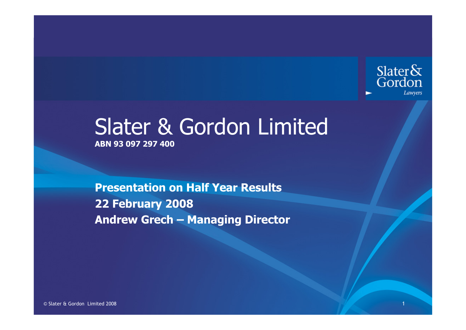

### Slater & Gordon LimitedABN 93 097 297 400

Presentation on Half Year Results 22 February 2008Andrew Grech – Managing Director

© Slater & Gordon Limited 2008 $\bf{8}$  , and the contract of the contract of the contract of the contract of the contract of the contract of the contract of the contract of the contract of the contract of the contract of the contract of the contract of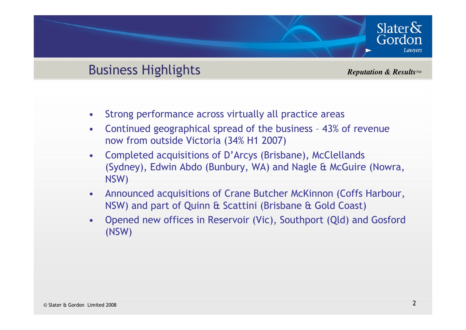#### Business Highlights

*Reputation & Results™*

Slater $\delta x$ 

Gordon

- $\bullet$ Strong performance across virtually all practice areas
- $\bullet$  Continued geographical spread of the business – 43% of revenue now from outside Victoria (34% H1 2007)
- • Completed acquisitions of D'Arcys (Brisbane), McClellands (Sydney), Edwin Abdo (Bunbury, WA) and Nagle & McGuire (Nowra, NSW)
- • Announced acquisitions of Crane Butcher McKinnon (Coffs Harbour, NSW) and part of Quinn & Scattini (Brisbane & Gold Coast)
- • Opened new offices in Reservoir (Vic), Southport (Qld) and Gosford (NSW)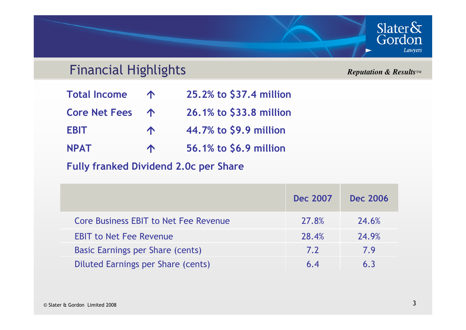## Slater&<br>Gordon

#### Financial Highlights

*Reputation & Results™*

Lawyers

| <b>Total Income</b>  | $\bigwedge$ | 25.2% to \$37.4 million |
|----------------------|-------------|-------------------------|
| <b>Core Net Fees</b> | $\bullet$   | 26.1% to \$33.8 million |
| <b>EBIT</b>          | $\bigwedge$ | 44.7% to \$9.9 million  |
| <b>NPAT</b>          | $\bigwedge$ | 56.1% to \$6.9 million  |

Fully franked Dividend 2.0c per Share

|                                         | <b>Dec 2007</b> | <b>Dec 2006</b> |
|-----------------------------------------|-----------------|-----------------|
| Core Business EBIT to Net Fee Revenue   | 27.8%           | 24.6%           |
| <b>EBIT to Net Fee Revenue</b>          | 28.4%           | 24.9%           |
| <b>Basic Earnings per Share (cents)</b> | 7.2             | 7.9             |
| Diluted Earnings per Share (cents)      | 6.4             | 6.3             |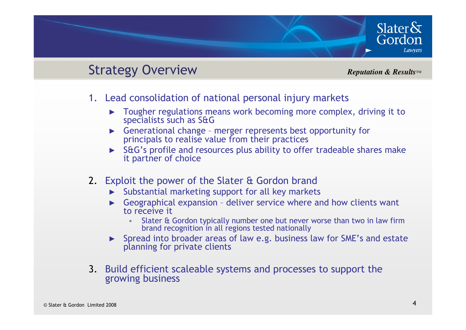#### Strategy Overview

*Reputation & Results™*

Slater $\delta$ 

Gordon

- 1. Lead consolidation of national personal injury markets
	- ► Tougher regulations means work becoming more complex, driving it to specialists such as S&G specialists such as S&G
	- ► Generational change – merger represents best opportunity for principals to realise value from their practices
	- ► S&G's profile and resources plus ability to offer tradeable shares make<br>it partner of choice ►it partner of choice
- 2. Exploit the power of the Slater & Gordon brand
	- ► Substantial marketing support for all key markets
	- ► Geographical expansion – deliver service where and how clients want to receive it
		- Slater & Gordon typically number one but never worse than two in law firm •brand recognition in all regions tested nationally
	- ► Spread into broader areas of law e.g. business law for SME's and estate planning for private clients ►planning for private clients
- 3. Build efficient scaleable systems and processes to support the growing business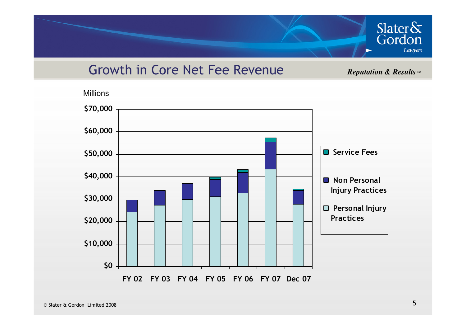

#### Growth in Core Net Fee Revenue

*Reputation & Results™*

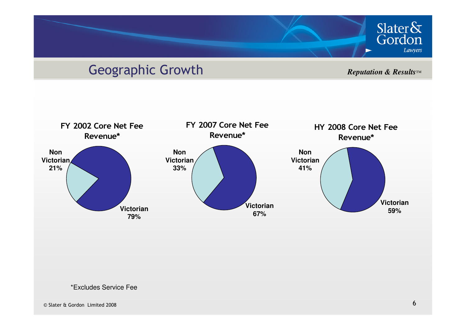#### Geographic Growth

*Reputation & Results™*

Slater&<br>Gordon

Lawyers



#### \*Excludes Service Fee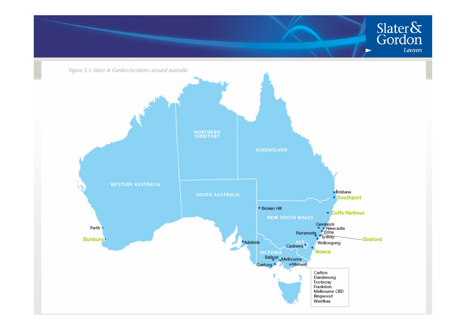

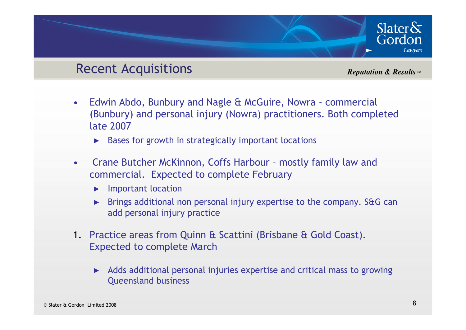#### Recent Acquisitions

*Reputation & Results™*

Slater $\&$ Gordon

- • Edwin Abdo, Bunbury and Nagle & McGuire, Nowra - commercial (Bunbury) and personal injury (Nowra) practitioners. Both completed late 2007
	- ► Bases for growth in strategically important locations
- • Crane Butcher McKinnon, Coffs Harbour – mostly family law and commercial. Expected to complete February
	- ► Important location
	- ► Brings additional non personal injury expertise to the company. S&G can add personal injury practice
- 1. Practice areas from Quinn & Scattini (Brisbane & Gold Coast). Expected to complete March
	- ► Adds additional personal injuries expertise and critical mass to growing Queensland business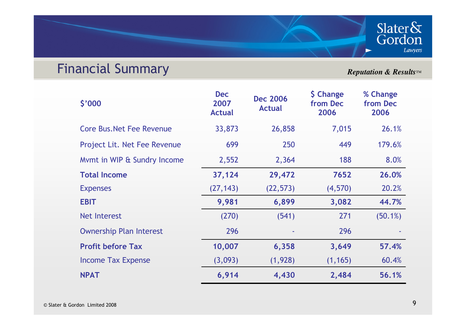#### Financial Summary

*Reputation & Results™*

 $\begin{array}{c} \mathbf{Slater}\mathbf{\&} \\ \mathbf{Gordon} \\ \stackrel{\text{Lawyers}}{\phantom{\big|}} \end{array}$ 

| \$'000                           | <b>Dec</b><br>2007<br><b>Actual</b> | <b>Dec 2006</b><br><b>Actual</b> | <b>\$ Change</b><br>from Dec<br>2006 | % Change<br>from Dec<br>2006 |  |
|----------------------------------|-------------------------------------|----------------------------------|--------------------------------------|------------------------------|--|
| <b>Core Bus. Net Fee Revenue</b> | 33,873                              | 26,858                           | 7,015                                | 26.1%                        |  |
| Project Lit. Net Fee Revenue     | 699                                 | 250                              | 449                                  | 179.6%                       |  |
| Mymt in WIP & Sundry Income      | 2,552                               | 2,364                            | 188                                  | 8.0%                         |  |
| <b>Total Income</b>              | 37,124                              | 29,472                           | 7652                                 | 26.0%                        |  |
| <b>Expenses</b>                  | (27, 143)                           | (22, 573)                        | (4,570)                              | 20.2%                        |  |
| <b>EBIT</b>                      | 9,981                               | 6,899                            | 3,082                                | 44.7%                        |  |
| Net Interest                     | (270)                               | (541)                            | 271                                  | (50.1%)                      |  |
| <b>Ownership Plan Interest</b>   | 296                                 |                                  | 296                                  |                              |  |
| <b>Profit before Tax</b>         | 10,007                              | 6,358                            | 3,649                                | 57.4%                        |  |
| <b>Income Tax Expense</b>        | (3,093)                             | (1,928)                          | (1, 165)                             | 60.4%                        |  |
| <b>NPAT</b>                      | 6,914                               | 4,430                            | 2,484                                | 56.1%                        |  |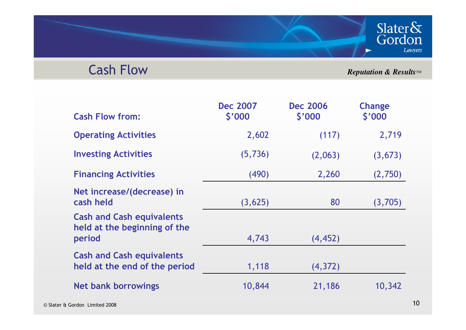

#### Cash Flow

*Reputation & Results™*

| <b>Cash Flow from:</b>                                                     | <b>Dec 2007</b><br>\$'000 | <b>Dec 2006</b><br>\$'000 | <b>Change</b><br>\$'000 |
|----------------------------------------------------------------------------|---------------------------|---------------------------|-------------------------|
| <b>Operating Activities</b>                                                | 2,602                     | (117)                     | 2,719                   |
| <b>Investing Activities</b>                                                | (5,736)                   | (2,063)                   | (3, 673)                |
| <b>Financing Activities</b>                                                | (490)                     | 2,260                     | (2,750)                 |
| Net increase/(decrease) in<br>cash held                                    | (3,625)                   | 80                        | (3,705)                 |
| <b>Cash and Cash equivalents</b><br>held at the beginning of the<br>period | 4,743                     | (4, 452)                  |                         |
| <b>Cash and Cash equivalents</b><br>held at the end of the period          | 1,118                     | (4, 372)                  |                         |
| <b>Net bank borrowings</b>                                                 | 10,844                    | 21,186                    | 10,342                  |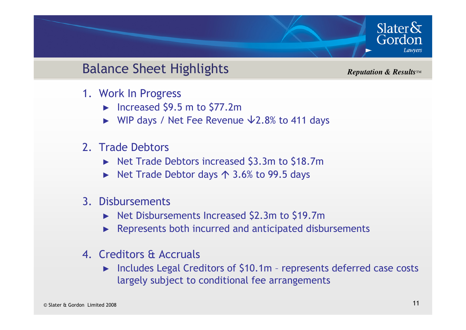#### Balance Sheet Highlights

*Reputation & Results™*

Slater $\delta$ 

Gordon

- 1. Work In Progress
	- $\blacktriangleright$  Increased \$9.5 m to \$77.2m
	- $\blacktriangleright$  WIP days / Net Fee Revenue  $\forall$ 2.8% to 411 days
- 2. Trade Debtors
	- ► Net Trade Debtors increased \$3.3m to \$18.7m
	- $\blacktriangleright$  Net Trade Debtor days  $\uparrow$  3.6% to 99.5 days
- 3. Disbursements
	- ► Net Disbursements Increased \$2.3m to \$19.7m
	- **Represents both incurred and anticipated disbursements** ►
- 4. Creditors & Accruals
	- ► Includes Legal Creditors of \$10.1m represents deferred case costs largely subject to conditional fee arrangements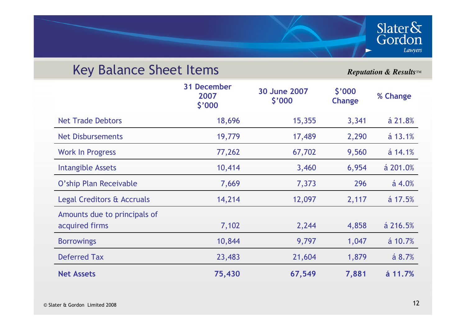#### Key Balance Sheet Items

*Reputation & Results™*

 $\begin{array}{c}\n\text{Slater}\&\text{Gordon} \xspace\\\text{Gordon}\xspace\\\text{Law,~} \xspace\\\text{Law,~} \xspace\\\text{Law,~} \xspace\\\text{Conv,~} \xspace\\\text{Conv,~} \xspace\\\text{Conv,~} \xspace\\\text{Conv,~} \xspace\\\text{Conv,~} \xspace\\\text{Conv,~} \xspace\\\text{Conv,~} \xspace\\\text{Conv,~} \xspace\\\text{Conv,~} \xspace\\\text{Conv,~} \xspace\\\text{Conv,~} \xspace\\\text{Conv,~} \xspace\\\text{Conv,~} \xspace\\\text{Conv,~} \xspace\\\text{Conv,~} \xspace\\\text{Conv,~} \$ 

|                                                | <b>31 December</b><br>2007<br>\$'000 | 30 June 2007<br>\$'000 | \$'000<br>Change | % Change                |
|------------------------------------------------|--------------------------------------|------------------------|------------------|-------------------------|
| <b>Net Trade Debtors</b>                       | 18,696                               | 15,355                 | 3,341            | $a$ 21.8%               |
| <b>Net Disbursements</b>                       | 19,779                               | 17,489                 | 2,290            | $\acute{a}$ 13.1%       |
| <b>Work In Progress</b>                        | 77,262                               | 67,702                 | 9,560            | a <sup>14.1%</sup>      |
| <b>Intangible Assets</b>                       | 10,414                               | 3,460                  | 6,954            | $\acute{\rm{a}}$ 201.0% |
| O'ship Plan Receivable                         | 7,669                                | 7,373                  | 296              | $\acute{a}$ 4.0%        |
| <b>Legal Creditors &amp; Accruals</b>          | 14,214                               | 12,097                 | 2,117            | $\acute{a}$ 17.5%       |
| Amounts due to principals of<br>acquired firms | 7,102                                | 2,244                  | 4,858            | $a$ 216.5%              |
| <b>Borrowings</b>                              | 10,844                               | 9,797                  | 1,047            | $\acute{a}$ 10.7%       |
| <b>Deferred Tax</b>                            | 23,483                               | 21,604                 | 1,879            | $\acute{a}8.7%$         |
| <b>Net Assets</b>                              | 75,430                               | 67,549                 | 7,881            | $a$ 11.7%               |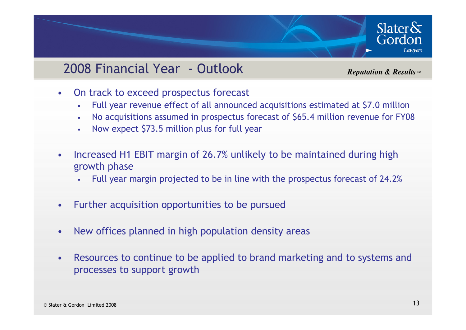#### 2008 Financial Year - Outlook

*Reputation & Results™*

Slater $\delta x$ 

Gordon

- $\bullet$  On track to exceed prospectus forecast
	- •Full year revenue effect of all announced acquisitions estimated at \$7.0 million
	- No acquisitions assumed in prospectus forecast of \$65.4 million revenue for FY08•
	- •Now expect \$73.5 million plus for full year
- $\bullet$  Increased H1 EBIT margin of 26.7% unlikely to be maintained during high growth phase
	- Full year margin projected to be in line with the prospectus forecast of 24.2%•
- $\bullet$ Further acquisition opportunities to be pursued
- •New offices planned in high population density areas
- • Resources to continue to be applied to brand marketing and to systems and processes to support growth